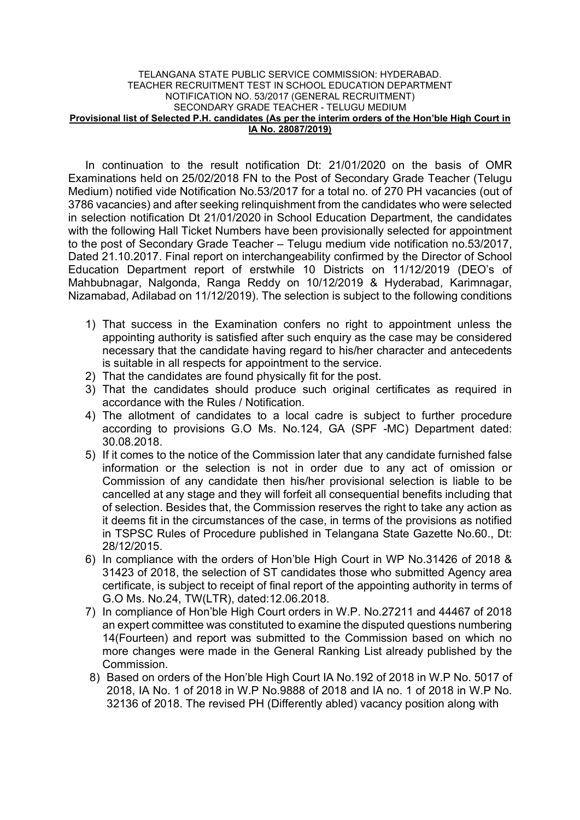#### TELANGANA STATE PUBLIC SERVICE COMMISSION: HYDERABAD. TEACHER RECRUITMENT TEST IN SCHOOL EDUCATION DEPARTMENT NOTIFICATION NO. 53/2017 (GENERAL RECRUITMENT) SECONDARY GRADE TEACHER - TELUGU MEDIUM Provisional list of Selected P.H. candidates (As per the interim orders of the Hon'ble High Court in IA No. 28087/2019)

In continuation to the result notification Dt: 21/01/2020 on the basis of OMR Examinations held on 25/02/2018 FN to the Post of Secondary Grade Teacher (Telugu Medium) notified vide Notification No.53/2017 for a total no. of 270 PH vacancies (out of 3786 vacancies) and after seeking relinquishment from the candidates who were selected in selection notification Dt 21/01/2020 in School Education Department, the candidates with the following Hall Ticket Numbers have been provisionally selected for appointment to the post of Secondary Grade Teacher – Telugu medium vide notification no.53/2017, Dated 21.10.2017. Final report on interchangeability confirmed by the Director of School Education Department report of erstwhile 10 Districts on 11/12/2019 (DEO's of Mahbubnagar, Nalgonda, Ranga Reddy on 10/12/2019 & Hyderabad, Karimnagar, Nizamabad, Adilabad on 11/12/2019). The selection is subject to the following conditions

- 1) That success in the Examination confers no right to appointment unless the appointing authority is satisfied after such enquiry as the case may be considered necessary that the candidate having regard to his/her character and antecedents is suitable in all respects for appointment to the service.
- 2) That the candidates are found physically fit for the post.
- 3) That the candidates should produce such original certificates as required in accordance with the Rules / Notification.
- 4) The allotment of candidates to a local cadre is subject to further procedure according to provisions G.O Ms. No.124, GA (SPF -MC) Department dated: 30.08.2018.
- 5) If it comes to the notice of the Commission later that any candidate furnished false information or the selection is not in order due to any act of omission or Commission of any candidate then his/her provisional selection is liable to be cancelled at any stage and they will forfeit all consequential benefits including that of selection. Besides that, the Commission reserves the right to take any action as it deems fit in the circumstances of the case, in terms of the provisions as notified in TSPSC Rules of Procedure published in Telangana State Gazette No.60., Dt: 28/12/2015.
- 6) In compliance with the orders of Hon'ble High Court in WP No.31426 of 2018 & 31423 of 2018, the selection of ST candidates those who submitted Agency area certificate, is subject to receipt of final report of the appointing authority in terms of G.O Ms. No.24, TW(LTR), dated:12.06.2018.
- 7) In compliance of Hon'ble High Court orders in W.P. No.27211 and 44467 of 2018 an expert committee was constituted to examine the disputed questions numbering 14(Fourteen) and report was submitted to the Commission based on which no more changes were made in the General Ranking List already published by the Commission.
- 8) Based on orders of the Hon'ble High Court IA No.192 of 2018 in W.P No. 5017 of 2018, IA No. 1 of 2018 in W.P No.9888 of 2018 and IA no. 1 of 2018 in W.P No. 32136 of 2018. The revised PH (Differently abled) vacancy position along with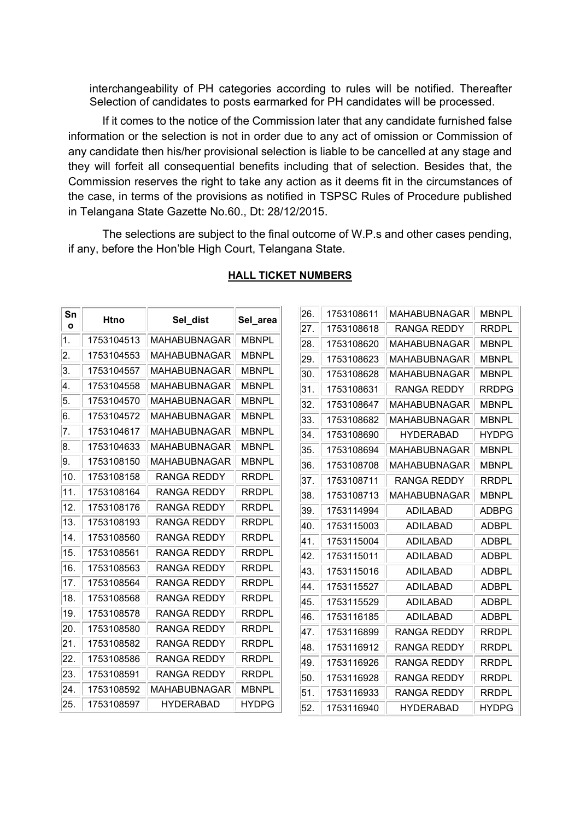interchangeability of PH categories according to rules will be notified. Thereafter Selection of candidates to posts earmarked for PH candidates will be processed.

If it comes to the notice of the Commission later that any candidate furnished false information or the selection is not in order due to any act of omission or Commission of any candidate then his/her provisional selection is liable to be cancelled at any stage and they will forfeit all consequential benefits including that of selection. Besides that, the Commission reserves the right to take any action as it deems fit in the circumstances of the case, in terms of the provisions as notified in TSPSC Rules of Procedure published in Telangana State Gazette No.60., Dt: 28/12/2015.

 The selections are subject to the final outcome of W.P.s and other cases pending, if any, before the Hon'ble High Court, Telangana State.

| Sn<br>Ο | Htno       | Sel_dist            | Sel area     |  |
|---------|------------|---------------------|--------------|--|
| 1.      | 1753104513 | <b>MAHABUBNAGAR</b> | <b>MBNPL</b> |  |
| 2.      | 1753104553 | <b>MAHABUBNAGAR</b> | <b>MBNPL</b> |  |
| 3.      | 1753104557 | <b>MAHABUBNAGAR</b> | <b>MBNPL</b> |  |
| 4.      | 1753104558 | <b>MAHABUBNAGAR</b> | <b>MBNPL</b> |  |
| 5.      | 1753104570 | <b>MAHABUBNAGAR</b> | <b>MBNPL</b> |  |
| 6.      | 1753104572 | <b>MAHABUBNAGAR</b> | <b>MBNPL</b> |  |
| 7.      | 1753104617 | <b>MAHABUBNAGAR</b> | <b>MBNPL</b> |  |
| 8.      | 1753104633 | <b>MAHABUBNAGAR</b> | <b>MBNPL</b> |  |
| 9.      | 1753108150 | <b>MAHABUBNAGAR</b> | <b>MBNPL</b> |  |
| 10.     | 1753108158 | RANGA REDDY         | <b>RRDPL</b> |  |
| 11.     | 1753108164 | RANGA REDDY         | <b>RRDPL</b> |  |
| 12.     | 1753108176 | RANGA REDDY         | <b>RRDPL</b> |  |
| 13.     | 1753108193 | <b>RANGA REDDY</b>  | <b>RRDPL</b> |  |
| 14.     | 1753108560 | RANGA REDDY         | <b>RRDPL</b> |  |
| 15.     | 1753108561 | RANGA REDDY         | <b>RRDPL</b> |  |
| 16.     | 1753108563 | RANGA REDDY         | <b>RRDPL</b> |  |
| 17.     | 1753108564 | RANGA REDDY         | <b>RRDPL</b> |  |
| 18.     | 1753108568 | <b>RANGA REDDY</b>  | <b>RRDPL</b> |  |
| 19.     | 1753108578 | RANGA REDDY         | <b>RRDPL</b> |  |
| 20.     | 1753108580 | <b>RANGA REDDY</b>  | <b>RRDPL</b> |  |
| 21.     | 1753108582 | RANGA REDDY         | <b>RRDPL</b> |  |
| 22.     | 1753108586 | RANGA REDDY         | <b>RRDPL</b> |  |
| 23.     | 1753108591 | RANGA REDDY         | <b>RRDPL</b> |  |
| 24.     | 1753108592 | <b>MAHABUBNAGAR</b> | <b>MBNPL</b> |  |
| 25.     | 1753108597 | <b>HYDERABAD</b>    | <b>HYDPG</b> |  |

## HALL TICKET NUMBERS

| 26. | 1753108611 | <b>MAHABUBNAGAR</b> | <b>MBNPL</b> |
|-----|------------|---------------------|--------------|
| 27. | 1753108618 | RANGA REDDY         | RRDPL        |
| 28. | 1753108620 | <b>MAHABUBNAGAR</b> | <b>MBNPL</b> |
| 29. | 1753108623 | MAHABUBNAGAR        | <b>MBNPL</b> |
| 30. | 1753108628 | MAHABUBNAGAR        | <b>MBNPL</b> |
| 31. | 1753108631 | RANGA REDDY         | RRDPG        |
| 32. | 1753108647 | MAHABUBNAGAR        | MBNPL        |
| 33. | 1753108682 | MAHABUBNAGAR        | <b>MBNPL</b> |
| 34. | 1753108690 | HYDERABAD           | <b>HYDPG</b> |
| 35. | 1753108694 | MAHABUBNAGAR        | <b>MBNPL</b> |
| 36. | 1753108708 | <b>MAHABUBNAGAR</b> | <b>MBNPL</b> |
| 37. | 1753108711 | RANGA REDDY         | <b>RRDPL</b> |
| 38. | 1753108713 | <b>MAHABUBNAGAR</b> | <b>MBNPL</b> |
| 39. | 1753114994 | ADIL ABAD           | <b>ADBPG</b> |
| 40. | 1753115003 | <b>ADILABAD</b>     | ADBPL        |
| 41. | 1753115004 | ADIL ABAD           | <b>ADBPL</b> |
| 42. | 1753115011 | <b>ADILABAD</b>     | ADBPL        |
| 43. | 1753115016 | ADIL ABAD           | ADBPL        |
| 44. | 1753115527 | ADILABAD            | ADBPL        |
| 45. | 1753115529 | <b>ADILABAD</b>     | <b>ADBPL</b> |
| 46. | 1753116185 | <b>ADILABAD</b>     | ADBPL        |
| 47. | 1753116899 | RANGA REDDY         | <b>RRDPL</b> |
| 48. | 1753116912 | RANGA REDDY         | RRDPL        |
| 49. | 1753116926 | RANGA REDDY         | <b>RRDPL</b> |
| 50. | 1753116928 | RANGA REDDY         | <b>RRDPL</b> |
| 51. | 1753116933 | RANGA REDDY         | <b>RRDPL</b> |
| 52. | 1753116940 | HYDERABAD           | <b>HYDPG</b> |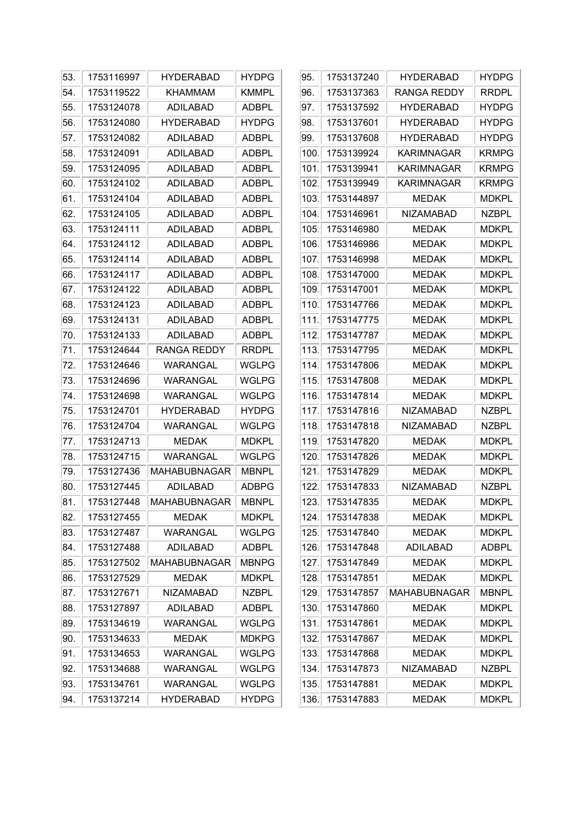| 53. | 1753116997 | <b>HYDERABAD</b>    | <b>HYDPG</b> | 95.  | 1753137240 | <b>HYDERABAD</b>    | <b>HYDPG</b> |
|-----|------------|---------------------|--------------|------|------------|---------------------|--------------|
| 54. | 1753119522 | <b>KHAMMAM</b>      | <b>KMMPL</b> | 96.  | 1753137363 | <b>RANGA REDDY</b>  | <b>RRDPL</b> |
| 55. | 1753124078 | ADILABAD            | <b>ADBPL</b> | 97.  | 1753137592 | <b>HYDERABAD</b>    | <b>HYDPG</b> |
| 56. | 1753124080 | <b>HYDERABAD</b>    | <b>HYDPG</b> | 98.  | 1753137601 | <b>HYDERABAD</b>    | <b>HYDPG</b> |
| 57. | 1753124082 | <b>ADILABAD</b>     | <b>ADBPL</b> | 99.  | 1753137608 | <b>HYDERABAD</b>    | <b>HYDPG</b> |
| 58. | 1753124091 | <b>ADILABAD</b>     | <b>ADBPL</b> | 100. | 1753139924 | <b>KARIMNAGAR</b>   | <b>KRMPG</b> |
| 59. | 1753124095 | ADILABAD            | <b>ADBPL</b> | 101. | 1753139941 | <b>KARIMNAGAR</b>   | <b>KRMPG</b> |
| 60. | 1753124102 | <b>ADILABAD</b>     | <b>ADBPL</b> | 102. | 1753139949 | <b>KARIMNAGAR</b>   | <b>KRMPG</b> |
| 61. | 1753124104 | ADILABAD            | <b>ADBPL</b> | 103. | 1753144897 | <b>MEDAK</b>        | <b>MDKPL</b> |
| 62. | 1753124105 | <b>ADILABAD</b>     | <b>ADBPL</b> | 104. | 1753146961 | <b>NIZAMABAD</b>    | <b>NZBPL</b> |
| 63. | 1753124111 | ADILABAD            | <b>ADBPL</b> | 105. | 1753146980 | <b>MEDAK</b>        | <b>MDKPL</b> |
| 64. | 1753124112 | <b>ADILABAD</b>     | <b>ADBPL</b> | 106. | 1753146986 | <b>MEDAK</b>        | <b>MDKPL</b> |
| 65. | 1753124114 | ADILABAD            | <b>ADBPL</b> | 107. | 1753146998 | <b>MEDAK</b>        | <b>MDKPL</b> |
| 66. | 1753124117 | ADILABAD            | <b>ADBPL</b> | 108. | 1753147000 | <b>MEDAK</b>        | <b>MDKPL</b> |
| 67. | 1753124122 | <b>ADILABAD</b>     | <b>ADBPL</b> | 109. | 1753147001 | <b>MEDAK</b>        | <b>MDKPL</b> |
| 68. | 1753124123 | ADILABAD            | <b>ADBPL</b> | 110. | 1753147766 | <b>MEDAK</b>        | <b>MDKPL</b> |
| 69. | 1753124131 | ADILABAD            | <b>ADBPL</b> | 111. | 1753147775 | <b>MEDAK</b>        | <b>MDKPL</b> |
| 70. | 1753124133 | ADILABAD            | <b>ADBPL</b> | 112. | 1753147787 | <b>MEDAK</b>        | <b>MDKPL</b> |
| 71. | 1753124644 | <b>RANGA REDDY</b>  | <b>RRDPL</b> | 113. | 1753147795 | <b>MEDAK</b>        | <b>MDKPL</b> |
| 72. | 1753124646 | <b>WARANGAL</b>     | <b>WGLPG</b> | 114. | 1753147806 | <b>MEDAK</b>        | <b>MDKPL</b> |
| 73. | 1753124696 | WARANGAL            | <b>WGLPG</b> | 115. | 1753147808 | <b>MEDAK</b>        | <b>MDKPL</b> |
| 74. | 1753124698 | <b>WARANGAL</b>     | <b>WGLPG</b> | 116. | 1753147814 | <b>MEDAK</b>        | <b>MDKPL</b> |
| 75. | 1753124701 | <b>HYDERABAD</b>    | <b>HYDPG</b> | 117. | 1753147816 | <b>NIZAMABAD</b>    | <b>NZBPL</b> |
| 76. | 1753124704 | WARANGAL            | <b>WGLPG</b> | 118. | 1753147818 | <b>NIZAMABAD</b>    | <b>NZBPL</b> |
| 77. | 1753124713 | <b>MEDAK</b>        | <b>MDKPL</b> | 119. | 1753147820 | <b>MEDAK</b>        | <b>MDKPL</b> |
| 78. | 1753124715 | WARANGAL            | <b>WGLPG</b> | 120. | 1753147826 | <b>MEDAK</b>        | <b>MDKPL</b> |
| 79. | 1753127436 | <b>MAHABUBNAGAR</b> | <b>MBNPL</b> | 121. | 1753147829 | <b>MEDAK</b>        | <b>MDKPL</b> |
| 80. | 1753127445 | <b>ADILABAD</b>     | <b>ADBPG</b> | 122. | 1753147833 | <b>NIZAMABAD</b>    | <b>NZBPL</b> |
| 81. | 1753127448 | <b>MAHABUBNAGAR</b> | <b>MBNPL</b> | 123. | 1753147835 | <b>MEDAK</b>        | <b>MDKPL</b> |
| 82. | 1753127455 | <b>MEDAK</b>        | <b>MDKPL</b> | 124. | 1753147838 | <b>MEDAK</b>        | <b>MDKPL</b> |
| 83. | 1753127487 | WARANGAL            | <b>WGLPG</b> | 125. | 1753147840 | MEDAK               | <b>MDKPL</b> |
| 84. | 1753127488 | ADILABAD            | <b>ADBPL</b> | 126. | 1753147848 | <b>ADILABAD</b>     | <b>ADBPL</b> |
| 85. | 1753127502 | <b>MAHABUBNAGAR</b> | <b>MBNPG</b> | 127. | 1753147849 | <b>MEDAK</b>        | <b>MDKPL</b> |
| 86. | 1753127529 | <b>MEDAK</b>        | <b>MDKPL</b> | 128. | 1753147851 | <b>MEDAK</b>        | <b>MDKPL</b> |
| 87. | 1753127671 | <b>NIZAMABAD</b>    | <b>NZBPL</b> | 129. | 1753147857 | <b>MAHABUBNAGAR</b> | <b>MBNPL</b> |
| 88. | 1753127897 | <b>ADILABAD</b>     | <b>ADBPL</b> | 130. | 1753147860 | MEDAK               | <b>MDKPL</b> |
| 89. | 1753134619 | WARANGAL            | <b>WGLPG</b> | 131. | 1753147861 | <b>MEDAK</b>        | <b>MDKPL</b> |
| 90. | 1753134633 | <b>MEDAK</b>        | <b>MDKPG</b> | 132. | 1753147867 | <b>MEDAK</b>        | <b>MDKPL</b> |
| 91. | 1753134653 | WARANGAL            | <b>WGLPG</b> | 133. | 1753147868 | <b>MEDAK</b>        | <b>MDKPL</b> |
| 92. | 1753134688 | WARANGAL            | <b>WGLPG</b> | 134. | 1753147873 | <b>NIZAMABAD</b>    | <b>NZBPL</b> |
| 93. | 1753134761 | WARANGAL            | <b>WGLPG</b> | 135. | 1753147881 | <b>MEDAK</b>        | <b>MDKPL</b> |
| 94. | 1753137214 | <b>HYDERABAD</b>    | <b>HYDPG</b> | 136  | 1753147883 | <b>MEDAK</b>        | <b>MDKPL</b> |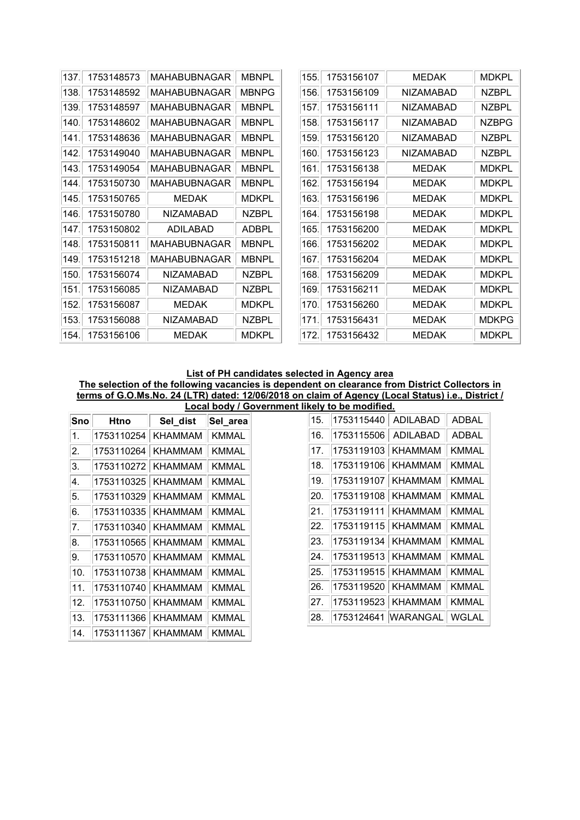| 137. | 1753148573 | MAHABUBNAGAR        | <b>MBNPL</b> | 155. | 1753156107 | <b>MEDAK</b>     | <b>MDKPL</b> |
|------|------------|---------------------|--------------|------|------------|------------------|--------------|
| 138. | 1753148592 | <b>MAHABUBNAGAR</b> | <b>MBNPG</b> | 156. | 1753156109 | <b>NIZAMABAD</b> | <b>NZBPL</b> |
| 139. | 1753148597 | <b>MAHABUBNAGAR</b> | <b>MBNPL</b> | 157. | 1753156111 | <b>NIZAMABAD</b> | <b>NZBPL</b> |
| 140. | 1753148602 | <b>MAHABUBNAGAR</b> | <b>MBNPL</b> | 158. | 1753156117 | <b>NIZAMABAD</b> | <b>NZBPG</b> |
| 141  | 1753148636 | <b>MAHABUBNAGAR</b> | <b>MBNPL</b> | 159. | 1753156120 | <b>NIZAMABAD</b> | <b>NZBPL</b> |
| 142. | 1753149040 | <b>MAHABUBNAGAR</b> | <b>MBNPL</b> | 160. | 1753156123 | <b>NIZAMABAD</b> | <b>NZBPL</b> |
| 143. | 1753149054 | <b>MAHABUBNAGAR</b> | <b>MBNPL</b> | 161  | 1753156138 | <b>MEDAK</b>     | <b>MDKPL</b> |
| 144. | 1753150730 | MAHABUBNAGAR        | <b>MBNPL</b> | 162. | 1753156194 | <b>MEDAK</b>     | <b>MDKPL</b> |
| 145. | 1753150765 | <b>MEDAK</b>        | <b>MDKPL</b> | 163. | 1753156196 | <b>MEDAK</b>     | <b>MDKPL</b> |
| 146. | 1753150780 | <b>NIZAMABAD</b>    | <b>NZBPL</b> | 164. | 1753156198 | <b>MEDAK</b>     | <b>MDKPL</b> |
| 147. | 1753150802 | ADILABAD            | <b>ADBPL</b> | 165. | 1753156200 | <b>MEDAK</b>     | <b>MDKPL</b> |
| 148. | 1753150811 | <b>MAHABUBNAGAR</b> | <b>MBNPL</b> | 166. | 1753156202 | <b>MEDAK</b>     | <b>MDKPL</b> |
| 149. | 1753151218 | <b>MAHABUBNAGAR</b> | <b>MBNPL</b> | 167. | 1753156204 | <b>MEDAK</b>     | <b>MDKPL</b> |
| 150. | 1753156074 | <b>NIZAMABAD</b>    | <b>NZBPL</b> | 168. | 1753156209 | <b>MEDAK</b>     | <b>MDKPL</b> |
| 151. | 1753156085 | <b>NIZAMABAD</b>    | <b>NZBPL</b> | 169. | 1753156211 | <b>MEDAK</b>     | <b>MDKPL</b> |
| 152. | 1753156087 | <b>MEDAK</b>        | <b>MDKPL</b> | 170. | 1753156260 | <b>MEDAK</b>     | <b>MDKPL</b> |
| 153. | 1753156088 | <b>NIZAMABAD</b>    | <b>NZBPL</b> | 171  | 1753156431 | <b>MEDAK</b>     | <b>MDKPG</b> |
| 154. | 1753156106 | <b>MEDAK</b>        | <b>MDKPL</b> | 172. | 1753156432 | <b>MEDAK</b>     | <b>MDKPL</b> |

#### List of PH candidates selected in Agency area

The selection of the following vacancies is dependent on clearance from District Collectors in terms of G.O.Ms.No. 24 (LTR) dated: 12/06/2018 on claim of Agency (Local Status) i.e., District / Local body / Government likely to be modified.

| Sno | Htno       | Sel_dist             | Sel_area     |
|-----|------------|----------------------|--------------|
| 1.  | 1753110254 | KHAMMAM              | KMMAL        |
| 2.  | 1753110264 | <b>KHAMMAM</b>       | <b>KMMAL</b> |
| 3.  | 1753110272 | KHAMMAM              | <b>KMMAL</b> |
| 4.  | 1753110325 | KHAMMAM              | <b>KMMAL</b> |
| 5.  | 1753110329 | KHAMMAM              | <b>KMMAL</b> |
| 6.  |            | 1753110335   KHAMMAM | <b>KMMAL</b> |
| 7.  | 1753110340 | KHAMMAM              | <b>KMMAL</b> |
| 8.  | 1753110565 | <b>KHAMMAM</b>       | <b>KMMAL</b> |
| 9.  | 1753110570 | <b>KHAMMAM</b>       | <b>KMMAL</b> |
| 10. | 1753110738 | KHAMMAM              | KMMAL        |
| 11. | 1753110740 | KHAMMAM              | KMMAL        |
| 12. | 1753110750 | KHAMMAM              | <b>KMMAL</b> |
| 13. | 1753111366 | <b>KHAMMAM</b>       | <b>KMMAL</b> |
| 14. | 1753111367 | <b>KHAMMAM</b>       | <b>KMMAL</b> |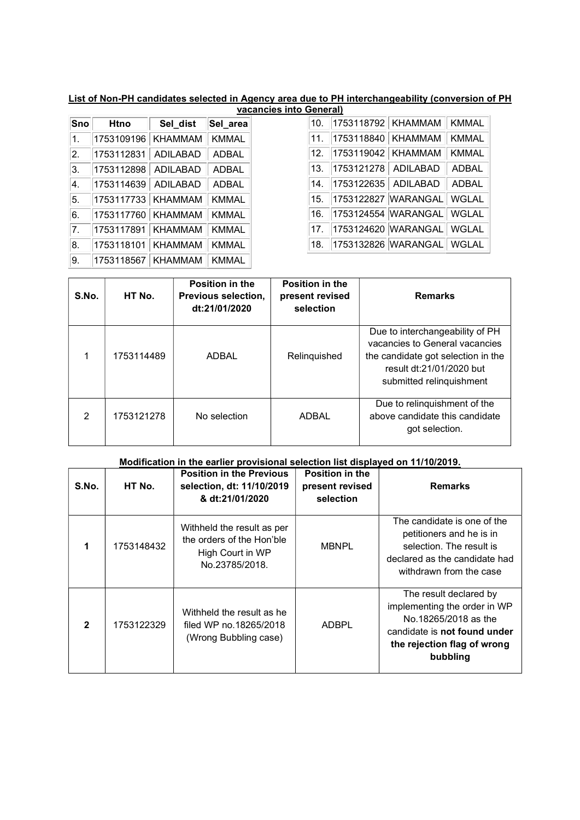# List of Non-PH candidates selected in Agency area due to PH interchangeability (conversion of PH

|                  |             |                | vacancies into General) |
|------------------|-------------|----------------|-------------------------|
| Sno              | <b>Htno</b> | Sel_dist       | Sel_area                |
| $\overline{1}$ . | 1753109196  | <b>KHAMMAM</b> | <b>KMMAL</b>            |
| 2.               | 1753112831  | ADILABAD       | <b>ADBAL</b>            |
| 3.               | 1753112898  | ADILABAD       | <b>ADBAL</b>            |
| Ι4.              | 1753114639  | ADILABAD       | <b>ADBAL</b>            |
| 5.               | 1753117733  | KHAMMAM        | <b>KMMAL</b>            |
| 6.               | 1753117760  | KHAMMAM        | <b>KMMAL</b>            |
| 7.               | 1753117891  | KHAMMAM        | <b>KMMAL</b>            |
| 8.               | 1753118101  | KHAMMAM        | <b>KMMAL</b>            |
| 9.               | 1753118567  | <b>KHAMMAM</b> | <b>KMMAL</b>            |

| S.No. | HT No.     | Position in the<br>Previous selection,<br>dt:21/01/2020 | <b>Position in the</b><br>present revised<br>selection | <b>Remarks</b>                                                                                                                                                  |
|-------|------------|---------------------------------------------------------|--------------------------------------------------------|-----------------------------------------------------------------------------------------------------------------------------------------------------------------|
|       | 1753114489 | ADBAL                                                   | Relinquished                                           | Due to interchangeability of PH<br>vacancies to General vacancies<br>the candidate got selection in the<br>result dt:21/01/2020 but<br>submitted relinguishment |
| 2     | 1753121278 | No selection                                            | ADBAL                                                  | Due to relinquishment of the<br>above candidate this candidate<br>got selection.                                                                                |

|                | Modification in the earlier provisional selection list displayed on 11/10/2019. |                                                                                               |                                                 |                                                                                                                                                           |  |  |  |  |  |
|----------------|---------------------------------------------------------------------------------|-----------------------------------------------------------------------------------------------|-------------------------------------------------|-----------------------------------------------------------------------------------------------------------------------------------------------------------|--|--|--|--|--|
| S.No.          | HT No.                                                                          | <b>Position in the Previous</b><br>selection, dt: 11/10/2019<br>& dt:21/01/2020               | Position in the<br>present revised<br>selection | <b>Remarks</b>                                                                                                                                            |  |  |  |  |  |
| 1              | 1753148432                                                                      | Withheld the result as per<br>the orders of the Hon'ble<br>High Court in WP<br>No.23785/2018. | <b>MBNPL</b>                                    | The candidate is one of the<br>petitioners and he is in<br>selection. The result is<br>declared as the candidate had<br>withdrawn from the case           |  |  |  |  |  |
| $\overline{2}$ | 1753122329                                                                      | Withheld the result as he<br>filed WP no.18265/2018<br>(Wrong Bubbling case)                  | <b>ADBPL</b>                                    | The result declared by<br>implementing the order in WP<br>No.18265/2018 as the<br>candidate is not found under<br>the rejection flag of wrong<br>bubbling |  |  |  |  |  |